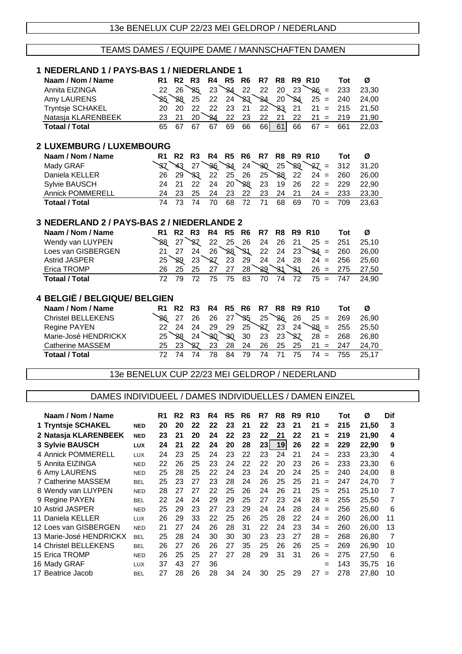# TEAMS DAMES / EQUIPE DAME / MANNSCHAFTEN DAMEN

| 1 NEDERLAND 1 / PAYS-BAS 1 / NIEDERLANDE 1             |                                 |                      |                      |                      |          |                      |                      |          |                      |                 |                                               |            |                |                 |  |
|--------------------------------------------------------|---------------------------------|----------------------|----------------------|----------------------|----------|----------------------|----------------------|----------|----------------------|-----------------|-----------------------------------------------|------------|----------------|-----------------|--|
| Naam / Nom / Name                                      |                                 | R <sub>1</sub>       |                      | <b>R2 R3</b>         | R4       | R <sub>5</sub>       | R6                   | R7       | R <sub>8</sub>       |                 | <b>R9 R10</b>                                 | <b>Tot</b> | Ø              |                 |  |
| Annita EIZINGA                                         |                                 | 22                   | 26                   | 25                   | 23       | 24                   | 22                   | 22       | 20                   | 23              | $26 =$                                        | 233        | 23,30          |                 |  |
| Amy LAURENS                                            |                                 | ২5্                  | 88                   | 25                   | 22       | 24                   | ષ્ટર                 | 24       | 20                   | $\overline{24}$ | $25 =$                                        | 240        | 24,00          |                 |  |
| Tryntsje SCHAKEL                                       |                                 | 20                   | 20                   | 22                   | 22       | 23                   | 21                   | 22       | প্ৰহ                 | 21              | $21 =$                                        | 215        | 21,50          |                 |  |
| Natasja KLARENBEEK                                     |                                 | 23                   | 21                   | 20                   | 24       | 22                   | 23                   | 22       | 21                   | 22              | 21<br>$\equiv$                                | 219        | 21,90          |                 |  |
| <b>Totaal / Total</b>                                  |                                 | 65                   | 67                   | 67                   | 67       | 69                   | 66                   | 66       | 61                   | 66              | $67 =$                                        | 661        | 22,03          |                 |  |
|                                                        | <b>2 LUXEMBURG / LUXEMBOURG</b> |                      |                      |                      |          |                      |                      |          |                      |                 |                                               |            |                |                 |  |
|                                                        |                                 |                      |                      |                      |          |                      |                      |          |                      |                 |                                               |            |                |                 |  |
| Naam / Nom / Name                                      |                                 | R1 I                 | R2                   | R3                   | R4       | <b>R5 R6</b>         |                      | R7       | R <sub>8</sub>       |                 | <b>R9 R10</b>                                 | Tot        | Ø              |                 |  |
| Mady GRAF                                              |                                 | SZ.                  | 743                  | 27                   | 36       | 84                   | 24                   | -30      | 25                   | `&থ             | $27 =$                                        | 312        | 31,20          |                 |  |
| Daniela KELLER                                         |                                 | 26                   | 29                   | ઙર                   | 22       | 25                   | 26                   | 25       | ২২                   | 22              | $24 =$                                        | 260        | 26,00          |                 |  |
| Sylvie BAUSCH                                          |                                 | 24                   | 21                   | 22                   | 24       | 20 <sup>7</sup>      | 28                   | 23       | 19                   | 26              | $22 =$                                        | 229        | 22,90          |                 |  |
| <b>Annick POMMERELL</b><br><b>Totaal / Total</b>       |                                 | 24<br>74             | 23<br>73             | 25<br>74             | 24<br>70 | 23<br>68             | 22<br>72             | 23<br>71 | 24<br>68             | 21<br>69        | $24 =$<br>$70 =$                              | 233<br>709 | 23,30<br>23,63 |                 |  |
|                                                        |                                 |                      |                      |                      |          |                      |                      |          |                      |                 |                                               |            |                |                 |  |
| 3 NEDERLAND 2 / PAYS-BAS 2 / NIEDERLANDE 2             |                                 |                      |                      |                      |          |                      |                      |          |                      |                 |                                               |            |                |                 |  |
| Naam / Nom / Name                                      |                                 | R <sub>1</sub>       | R2                   | R3                   | R4       | R <sub>5</sub>       | R6                   | R7       | R <sub>8</sub>       |                 | <b>R9 R10</b>                                 | <b>Tot</b> | Ø              |                 |  |
| Wendy van LUYPEN                                       |                                 | ১৪                   | 27                   | প্ৰয                 | 22       | 25                   | 26                   | 24       | 26                   | 21              | $25 =$                                        | 251        | 25,10          |                 |  |
| Loes van GISBERGEN                                     |                                 | 21                   | 27                   | 24                   | 26       | 28                   | 31                   | 22       | 24                   | 23              | $34 =$                                        | 260        | 26,00          |                 |  |
| <b>Astrid JASPER</b>                                   |                                 | 25                   | ১৪                   | 23                   | প্ৰয     | 23                   | 29                   | 24       | 24                   | 28              | $24 =$                                        | 256        | 25,60          |                 |  |
| Erica TROMP                                            |                                 | 26                   | 25                   | 25                   | 27       | 27                   | 28                   | 29       | 81                   | 81              | $26 =$                                        | 275        | 27,50          |                 |  |
| <b>Totaal / Total</b>                                  |                                 | 72                   | 79                   | 72                   | 75       | 75                   | 83                   | 70       | 74                   | 72              | 75<br>$=$                                     | 747        | 24,90          |                 |  |
| 4 BELGIË / BELGIQUE/ BELGIEN                           |                                 |                      |                      |                      |          |                      |                      |          |                      |                 |                                               |            |                |                 |  |
|                                                        |                                 |                      |                      |                      |          |                      |                      |          |                      |                 |                                               |            |                |                 |  |
| Naam / Nom / Name                                      |                                 |                      | <b>R1 R2</b>         | R3                   | R4       | R <sub>5</sub>       | R <sub>6</sub>       | R7       | R8                   |                 | <b>R9 R10</b>                                 | Tot        | Ø              |                 |  |
| <b>Christel BELLEKENS</b>                              |                                 | 26                   | 27                   | 26                   | 26       | 27                   | 85                   | 25       | 26                   | 26              | $25 =$                                        | 269        | 26,90          |                 |  |
| Regine PAYEN                                           |                                 | 22                   | 24                   | 24                   | 29       | 29                   | 25                   | প্ৰয     | 23                   | 24              | $28 =$                                        | 255        | 25,50          |                 |  |
| Marie-José HENDRICKX                                   |                                 | 25                   | 88                   | 24                   | 30       | <b>SQ</b>            | 30                   | 23       | 23                   | প্ৰয            | $28 =$                                        | 268        | 26,80          |                 |  |
| <b>Catherine MASSEM</b><br><b>Totaal / Total</b>       |                                 | 25<br>72             | 23<br>74             | প্ৰহ<br>74           | 23<br>78 | 28<br>84             | 24<br>79             | 26<br>74 | 25<br>71             | 25<br>75        | $21 =$<br>$74 =$                              | 247<br>755 | 24,70          |                 |  |
|                                                        |                                 |                      |                      |                      |          |                      |                      |          |                      |                 |                                               |            | 25,17          |                 |  |
|                                                        |                                 |                      |                      |                      |          |                      |                      |          |                      |                 | 13e BENELUX CUP 22/23 MEI GELDROP / NEDERLAND |            |                |                 |  |
|                                                        |                                 |                      |                      |                      |          |                      |                      |          |                      |                 |                                               |            |                |                 |  |
| DAMES INDIVIDUEEL / DAMES INDIVIDUELLES / DAMEN EINZEL |                                 |                      |                      |                      |          |                      |                      |          |                      |                 |                                               |            |                |                 |  |
|                                                        |                                 |                      |                      |                      |          |                      |                      |          |                      |                 |                                               |            |                |                 |  |
| Naam / Nom / Name<br>1 Tryntsje SCHAKEL                | <b>NED</b>                      | R <sub>1</sub><br>20 | R <sub>2</sub><br>20 | R <sub>3</sub><br>22 | R4<br>22 | R <sub>5</sub><br>23 | R <sub>6</sub><br>21 | R7<br>22 | R <sub>8</sub><br>23 | R9<br>21        | R <sub>10</sub><br>$21 =$                     | Tot<br>215 | Ø<br>21,50     | <b>Dif</b><br>3 |  |
|                                                        |                                 | 23                   | 21                   | 20                   | 24       | 22                   | 23                   | 22       | 21                   | 22              | 21                                            | 219        |                | 4               |  |
| 2 Natasja KLARENBEEK                                   | <b>NED</b>                      |                      |                      |                      |          |                      | 28                   |          |                      |                 | $\equiv$                                      |            | 21,90          |                 |  |
| 3 Sylvie BAUSCH<br>4 Annick POMMERELL                  | <b>LUX</b>                      | 24                   | 21                   | 22                   | 24       | 20                   |                      | 23       | 19<br>24             | 26              | $22 =$                                        | 229        | 22,90          | 9               |  |
|                                                        | <b>LUX</b>                      | 24                   | 23                   | 25                   | 24       | 23                   | 22<br>22             | 23<br>22 |                      | 21              | $24 =$                                        | 233<br>233 | 23,30          | 4               |  |
| 5 Annita EIZINGA                                       | <b>NED</b>                      | 22                   | 26<br>28             | 25<br>25             | 23       | 24<br>24             | 23                   | 24       | 20<br>20             | 23<br>24        | $26 =$<br>$25 =$                              | 240        | 23,30          | 6               |  |
| 6 Amy LAURENS                                          | <b>NED</b>                      | 25                   |                      | 27                   | 22       | 28                   |                      |          | 25                   |                 |                                               |            | 24,00          | 8               |  |
| 7 Catherine MASSEM<br>8 Wendy van LUYPEN               | BEL                             | 25                   | 23<br>27             | 27                   | 23<br>22 | 25                   | 24                   | 26       | 26                   | 25<br>21        | 21<br>$\equiv$<br>$25 =$                      | 247<br>251 | 24,70          | 7               |  |
|                                                        | <b>NED</b>                      | 28                   |                      |                      |          |                      | 26                   | 24       |                      |                 |                                               |            | 25,10          | 7               |  |
| 9 Regine PAYEN                                         | <b>BEL</b>                      | 22                   | 24                   | 24                   | 29       | 29                   | 25                   | 27       | 23                   | 24              | $28 =$                                        | 255        | 25,50          | 7               |  |
| 10 Astrid JASPER                                       | <b>NED</b>                      | 25                   | 29                   | 23                   | 27       | 23                   | 29                   | 24       | 24                   | 28              | $24 =$                                        | 256        | 25,60          | 6               |  |
| 11 Daniela KELLER                                      | <b>LUX</b>                      | 26                   | 29                   | 33                   | 22       | 25                   | 26                   | 25       | 28                   | 22              | $24 =$                                        | 260        | 26,00          | 11              |  |
| 12 Loes van GISBERGEN                                  | <b>NED</b>                      | 21                   | 27                   | 24                   | 26       | 28                   | 31                   | 22       | 24                   | 23              | $34 =$                                        | 260        | 26,00          | 13              |  |
| 13 Marie-José HENDRICKX                                | <b>BEL</b>                      | 25                   | 28                   | 24<br>26             | 30       | 30<br>27             | 30<br>35             | 23<br>25 | 23<br>26             | 27              | $28 =$<br>$25 =$                              | 268        | 26,80          | 7               |  |
| 14 Christel BELLEKENS<br>15 Erica TROMP                | <b>BEL</b>                      | 26<br>26             | 27<br>25             | 25                   | 26<br>27 | 27                   | 28                   | 29       | 31                   | 26<br>31        | $26 =$                                        | 269<br>275 | 26,90          | 10<br>6         |  |
| 16 Mady GRAF                                           | <b>NED</b>                      | 37                   | 43                   | 27                   | 36       |                      |                      |          |                      |                 |                                               | 143        | 27,50<br>35,75 | 16              |  |
| 17 Beatrice Jacob                                      | <b>LUX</b><br><b>BEL</b>        | 27                   | 28                   | 26                   | 28       | 34                   | 24                   | 30       | 25                   | 29              | =<br>$27 =$                                   | 278        | 27,80          | 10              |  |
|                                                        |                                 |                      |                      |                      |          |                      |                      |          |                      |                 |                                               |            |                |                 |  |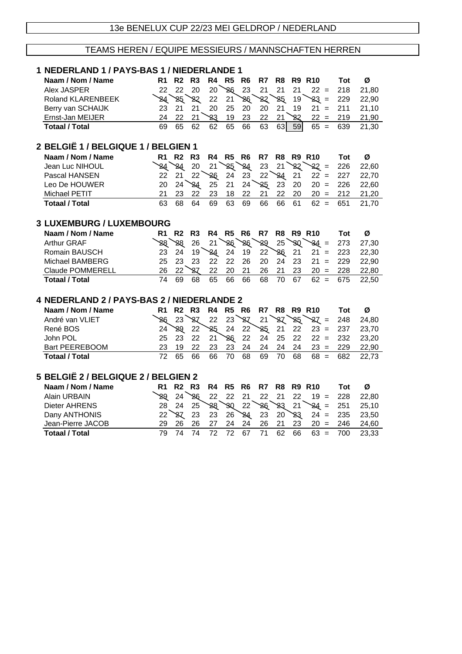#### TEAMS HEREN / EQUIPE MESSIEURS / MANNSCHAFTEN HERREN

#### **1 NEDERLAND 1 / PAYS-BAS 1 / NIEDERLANDE 1 Naam / Nom / Name R1 R2 R3 R4 R5 R6 R7 R8 R9 R10 Tot Ø** Alex JASPER 22 22 20 20 20 26 23 21 21 21 22 = 218 21,80 Roland KLARENBEEK 24 25 22 21 26 22 25 19 23 = 229 22,90<br>Berry van SCHAIJK 23 21 21 20 25 20 20 21 19 21 = 211 21,10 Berry van SCHAIJK 23 21 21 20 25 20 20 21 19 21 = 211 21,10 Ernst-Jan MEIJER 24 22 21 24 22 21 23 22 21 22 22 = 219 21,90 **Totaal / Total** 69 65 62 62 65 66 63 63 59 65 = 639 21,30

### **2 BELGIË 1 / BELGIQUE 1 / BELGIEN 1**

| Naam / Nom / Name |  |  |  |  |  | R1 R2 R3 R4 R5 R6 R7 R8 R9 R10 Tot Ø |                                                                 |
|-------------------|--|--|--|--|--|--------------------------------------|-----------------------------------------------------------------|
| Jean Luc NIHOUL   |  |  |  |  |  |                                      | $24$ $20$ $21$ $25$ $24$ $23$ $21$ $22$ $22$ $226$ $22,60$      |
| Pascal HANSEN     |  |  |  |  |  |                                      | $22 \t21 \t22 \t26 \t24 \t23 \t22 \t24 \t21 \t22 = 227 \t22,70$ |
| Leo De HOUWER     |  |  |  |  |  |                                      | $20$ $24$ $24$ $25$ $21$ $24$ $25$ $23$ $20$ $20 = 226$ $22,60$ |
| Michael PETIT     |  |  |  |  |  |                                      | 21 23 22 23 18 22 21 22 20 20 = 212 21.20                       |
| Totaal / Total    |  |  |  |  |  |                                      | 63 68 64 69 63 69 66 66 61 62 = 651 21.70                       |

#### **3 LUXEMBURG / LUXEMBOURG**

| Naam / Nom / Name       |          |  |  |  |  | R1 R2 R3 R4 R5 R6 R7 R8 R9 R10 Tot Ø |                                                                                                 |
|-------------------------|----------|--|--|--|--|--------------------------------------|-------------------------------------------------------------------------------------------------|
| <b>Arthur GRAF</b>      |          |  |  |  |  |                                      | 28 28 26 21 26 28 29 25 30 34 = 273 27,30                                                       |
| Romain BAUSCH           |          |  |  |  |  |                                      | $23 \quad 24 \quad 19$ $24 \quad 24 \quad 19 \quad 22$ $26 \quad 21 \quad 21 = 223 \quad 22,30$ |
| Michael BAMBERG         |          |  |  |  |  |                                      | 25 23 23 22 22 26 20 24 23 21 = 229 22,90                                                       |
| <b>Claude POMMERELL</b> |          |  |  |  |  |                                      | 26 22 27 22 20 21 26 21 23 20 = 228 22,80                                                       |
| <b>Totaal / Total</b>   | 74 69 68 |  |  |  |  |                                      | 65 66 66 68 70 67 62 = 675 22,50                                                                |

#### **4 NEDERLAND 2 / PAYS-BAS 2 / NIEDERLANDE 2**

| Naam / Nom / Name |    |     |     |  |  |  | R1 R2 R3 R4 R5 R6 R7 R8 R9 R10 | Tot Ø |                                                                   |
|-------------------|----|-----|-----|--|--|--|--------------------------------|-------|-------------------------------------------------------------------|
| André van VLIET   |    |     |     |  |  |  |                                |       | 24,80                                                             |
| René BOS          |    |     |     |  |  |  |                                |       | $24 \times 22 \times 25$ 24 22 24 21 22 23 = 237 23,70            |
| John POL          |    |     |     |  |  |  |                                |       | $25$ $23$ $22$ $21$ $26$ $22$ $24$ $25$ $22$ $22$ = $232$ $23,20$ |
| Bart PEEREBOOM    |    |     |     |  |  |  |                                |       | 23 19 22 23 23 24 24 24 24 23 = 229 22,90                         |
| Totaal / Total    | 72 | -65 | 66. |  |  |  |                                |       | 66 70 68 69 70 68 68 = 682 22.73                                  |

#### **5 BELGIË 2 / BELGIQUE 2 / BELGIEN 2**

| Naam / Nom / Name     |  |  |  |  |  | R1 R2 R3 R4 R5 R6 R7 R8 R9 R10 Tot Ø |                                                                   |
|-----------------------|--|--|--|--|--|--------------------------------------|-------------------------------------------------------------------|
| Alain URBAIN          |  |  |  |  |  |                                      | $\frac{1}{28}$ 24 $\frac{1}{26}$ 22 22 21 22 21 22 19 = 228 22,80 |
| Dieter AHRENS         |  |  |  |  |  |                                      | $28$ 24 $25$ 28 30 22 26 23 21 24 = 251 25,10                     |
| Dany ANTHONIS         |  |  |  |  |  |                                      | $22 \times 23$ 23 $26 \times 4$ 23 $20 \times 3$ 24 = 235 23,50   |
| Jean-Pierre JACOB     |  |  |  |  |  |                                      | 29  26  26  27  24  24  26  21  23  20  =  246  24.60             |
| <b>Totaal / Total</b> |  |  |  |  |  |                                      | 79 74 74 72 72 67 71 62 66 63 = 700 23,33                         |